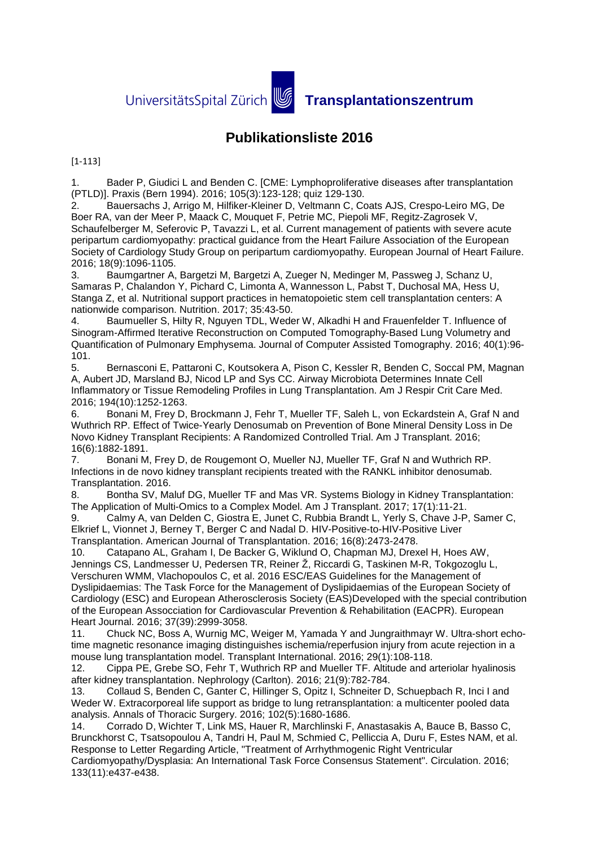## **Publikationsliste 2016**

[1-113]

1. Bader P, Giudici L and Benden C. [CME: Lymphoproliferative diseases after transplantation (PTLD)]. Praxis (Bern 1994). 2016; 105(3):123-128; quiz 129-130.

2. Bauersachs J, Arrigo M, Hilfiker-Kleiner D, Veltmann C, Coats AJS, Crespo-Leiro MG, De Boer RA, van der Meer P, Maack C, Mouquet F, Petrie MC, Piepoli MF, Regitz-Zagrosek V, Schaufelberger M, Seferovic P, Tavazzi L, et al. Current management of patients with severe acute peripartum cardiomyopathy: practical guidance from the Heart Failure Association of the European Society of Cardiology Study Group on peripartum cardiomyopathy. European Journal of Heart Failure. 2016; 18(9):1096-1105.

3. Baumgartner A, Bargetzi M, Bargetzi A, Zueger N, Medinger M, Passweg J, Schanz U, Samaras P, Chalandon Y, Pichard C, Limonta A, Wannesson L, Pabst T, Duchosal MA, Hess U, Stanga Z, et al. Nutritional support practices in hematopoietic stem cell transplantation centers: A nationwide comparison. Nutrition. 2017; 35:43-50.

4. Baumueller S, Hilty R, Nguyen TDL, Weder W, Alkadhi H and Frauenfelder T. Influence of Sinogram-Affirmed Iterative Reconstruction on Computed Tomography-Based Lung Volumetry and Quantification of Pulmonary Emphysema. Journal of Computer Assisted Tomography. 2016; 40(1):96- 101.

5. Bernasconi E, Pattaroni C, Koutsokera A, Pison C, Kessler R, Benden C, Soccal PM, Magnan A, Aubert JD, Marsland BJ, Nicod LP and Sys CC. Airway Microbiota Determines Innate Cell Inflammatory or Tissue Remodeling Profiles in Lung Transplantation. Am J Respir Crit Care Med. 2016; 194(10):1252-1263.

6. Bonani M, Frey D, Brockmann J, Fehr T, Mueller TF, Saleh L, von Eckardstein A, Graf N and Wuthrich RP. Effect of Twice-Yearly Denosumab on Prevention of Bone Mineral Density Loss in De Novo Kidney Transplant Recipients: A Randomized Controlled Trial. Am J Transplant. 2016; 16(6):1882-1891.

7. Bonani M, Frey D, de Rougemont O, Mueller NJ, Mueller TF, Graf N and Wuthrich RP. Infections in de novo kidney transplant recipients treated with the RANKL inhibitor denosumab. Transplantation. 2016.

8. Bontha SV, Maluf DG, Mueller TF and Mas VR. Systems Biology in Kidney Transplantation: The Application of Multi-Omics to a Complex Model. Am J Transplant. 2017; 17(1):11-21.

9. Calmy A, van Delden C, Giostra E, Junet C, Rubbia Brandt L, Yerly S, Chave J-P, Samer C, Elkrief L, Vionnet J, Berney T, Berger C and Nadal D. HIV-Positive-to-HIV-Positive Liver Transplantation. American Journal of Transplantation. 2016; 16(8):2473-2478.

10. Catapano AL, Graham I, De Backer G, Wiklund O, Chapman MJ, Drexel H, Hoes AW, Jennings CS, Landmesser U, Pedersen TR, Reiner Ž, Riccardi G, Taskinen M-R, Tokgozoglu L, Verschuren WMM, Vlachopoulos C, et al. 2016 ESC/EAS Guidelines for the Management of Dyslipidaemias: The Task Force for the Management of Dyslipidaemias of the European Society of Cardiology (ESC) and European Atherosclerosis Society (EAS)Developed with the special contribution of the European Assocciation for Cardiovascular Prevention & Rehabilitation (EACPR). European Heart Journal. 2016; 37(39):2999-3058.

11. Chuck NC, Boss A, Wurnig MC, Weiger M, Yamada Y and Jungraithmayr W. Ultra-short echotime magnetic resonance imaging distinguishes ischemia/reperfusion injury from acute rejection in a mouse lung transplantation model. Transplant International. 2016; 29(1):108-118.

12. Cippa PE, Grebe SO, Fehr T, Wuthrich RP and Mueller TF. Altitude and arteriolar hyalinosis after kidney transplantation. Nephrology (Carlton). 2016; 21(9):782-784.

13. Collaud S, Benden C, Ganter C, Hillinger S, Opitz I, Schneiter D, Schuepbach R, Inci I and Weder W. Extracorporeal life support as bridge to lung retransplantation: a multicenter pooled data analysis. Annals of Thoracic Surgery. 2016; 102(5):1680-1686.

14. Corrado D, Wichter T, Link MS, Hauer R, Marchlinski F, Anastasakis A, Bauce B, Basso C, Brunckhorst C, Tsatsopoulou A, Tandri H, Paul M, Schmied C, Pelliccia A, Duru F, Estes NAM, et al. Response to Letter Regarding Article, "Treatment of Arrhythmogenic Right Ventricular

Cardiomyopathy/Dysplasia: An International Task Force Consensus Statement". Circulation. 2016; 133(11):e437-e438.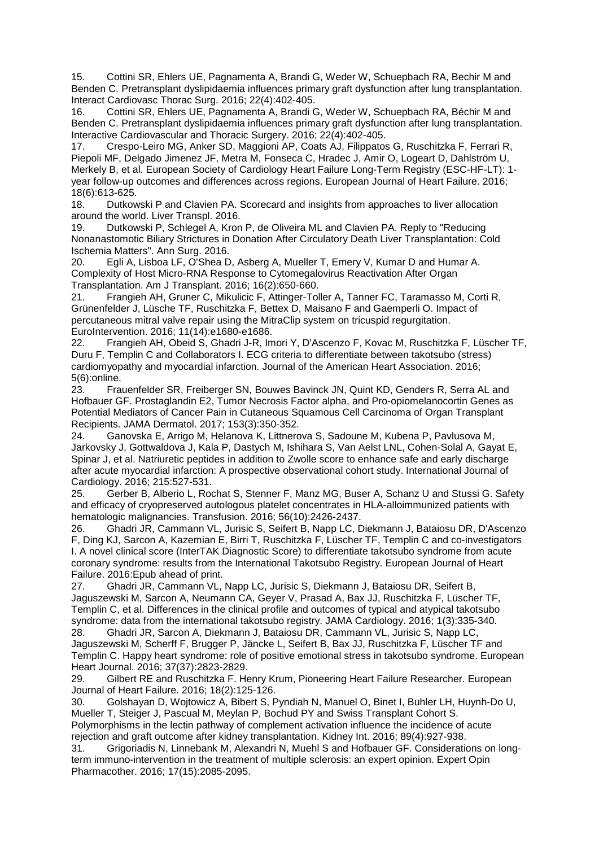15. Cottini SR, Ehlers UE, Pagnamenta A, Brandi G, Weder W, Schuepbach RA, Bechir M and Benden C. Pretransplant dyslipidaemia influences primary graft dysfunction after lung transplantation. Interact Cardiovasc Thorac Surg. 2016; 22(4):402-405.

16. Cottini SR, Ehlers UE, Pagnamenta A, Brandi G, Weder W, Schuepbach RA, Béchir M and Benden C. Pretransplant dyslipidaemia influences primary graft dysfunction after lung transplantation. Interactive Cardiovascular and Thoracic Surgery. 2016; 22(4):402-405.

17. Crespo-Leiro MG, Anker SD, Maggioni AP, Coats AJ, Filippatos G, Ruschitzka F, Ferrari R, Piepoli MF, Delgado Jimenez JF, Metra M, Fonseca C, Hradec J, Amir O, Logeart D, Dahlström U, Merkely B, et al. European Society of Cardiology Heart Failure Long-Term Registry (ESC-HF-LT): 1 year follow-up outcomes and differences across regions. European Journal of Heart Failure. 2016; 18(6):613-625.

18. Dutkowski P and Clavien PA. Scorecard and insights from approaches to liver allocation around the world. Liver Transpl. 2016.

19. Dutkowski P, Schlegel A, Kron P, de Oliveira ML and Clavien PA. Reply to "Reducing Nonanastomotic Biliary Strictures in Donation After Circulatory Death Liver Transplantation: Cold Ischemia Matters". Ann Surg. 2016.

20. Egli A, Lisboa LF, O'Shea D, Asberg A, Mueller T, Emery V, Kumar D and Humar A. Complexity of Host Micro-RNA Response to Cytomegalovirus Reactivation After Organ Transplantation. Am J Transplant. 2016; 16(2):650-660.

21. Frangieh AH, Gruner C, Mikulicic F, Attinger-Toller A, Tanner FC, Taramasso M, Corti R, Grünenfelder J, Lüsche TF, Ruschitzka F, Bettex D, Maisano F and Gaemperli O. Impact of percutaneous mitral valve repair using the MitraClip system on tricuspid regurgitation. EuroIntervention. 2016; 11(14):e1680-e1686.

22. Frangieh AH, Obeid S, Ghadri J-R, Imori Y, D'Ascenzo F, Kovac M, Ruschitzka F, Lüscher TF, Duru F, Templin C and Collaborators I. ECG criteria to differentiate between takotsubo (stress) cardiomyopathy and myocardial infarction. Journal of the American Heart Association. 2016; 5(6):online.<br>23. Frai

23. Frauenfelder SR, Freiberger SN, Bouwes Bavinck JN, Quint KD, Genders R, Serra AL and Hofbauer GF. Prostaglandin E2, Tumor Necrosis Factor alpha, and Pro-opiomelanocortin Genes as Potential Mediators of Cancer Pain in Cutaneous Squamous Cell Carcinoma of Organ Transplant Recipients. JAMA Dermatol. 2017; 153(3):350-352.<br>24. Ganovska E. Arrigo M. Helanova K. Littnerg

24. Ganovska E, Arrigo M, Helanova K, Littnerova S, Sadoune M, Kubena P, Pavlusova M, Jarkovsky J, Gottwaldova J, Kala P, Dastych M, Ishihara S, Van Aelst LNL, Cohen-Solal A, Gayat E, Spinar J, et al. Natriuretic peptides in addition to Zwolle score to enhance safe and early discharge after acute myocardial infarction: A prospective observational cohort study. International Journal of Cardiology. 2016; 215:527-531.

25. Gerber B, Alberio L, Rochat S, Stenner F, Manz MG, Buser A, Schanz U and Stussi G. Safety and efficacy of cryopreserved autologous platelet concentrates in HLA-alloimmunized patients with hematologic malignancies. Transfusion. 2016; 56(10):2426-2437.

26. Ghadri JR, Cammann VL, Jurisic S, Seifert B, Napp LC, Diekmann J, Bataiosu DR, D'Ascenzo F, Ding KJ, Sarcon A, Kazemian E, Birri T, Ruschitzka F, Lüscher TF, Templin C and co-investigators I. A novel clinical score (InterTAK Diagnostic Score) to differentiate takotsubo syndrome from acute coronary syndrome: results from the International Takotsubo Registry. European Journal of Heart Failure. 2016:Epub ahead of print.

27. Ghadri JR, Cammann VL, Napp LC, Jurisic S, Diekmann J, Bataiosu DR, Seifert B, Jaguszewski M, Sarcon A, Neumann CA, Geyer V, Prasad A, Bax JJ, Ruschitzka F, Lüscher TF, Templin C, et al. Differences in the clinical profile and outcomes of typical and atypical takotsubo syndrome: data from the international takotsubo registry. JAMA Cardiology. 2016; 1(3):335-340.<br>28. Ghadri J.R. Sarcon A. Diekmann J. Bataiosu D.R. Cammann VL. Jurisic S. Napp L.C.

28. Ghadri JR, Sarcon A, Diekmann J, Bataiosu DR, Cammann VL, Jurisic S, Napp LC, Jaguszewski M, Scherff F, Brugger P, Jäncke L, Seifert B, Bax JJ, Ruschitzka F, Lüscher TF and Templin C. Happy heart syndrome: role of positive emotional stress in takotsubo syndrome. European Heart Journal. 2016; 37(37):2823-2829.

29. Gilbert RE and Ruschitzka F. Henry Krum, Pioneering Heart Failure Researcher. European Journal of Heart Failure. 2016; 18(2):125-126.

30. Golshayan D, Wojtowicz A, Bibert S, Pyndiah N, Manuel O, Binet I, Buhler LH, Huynh-Do U, Mueller T, Steiger J, Pascual M, Meylan P, Bochud PY and Swiss Transplant Cohort S. Polymorphisms in the lectin pathway of complement activation influence the incidence of acute rejection and graft outcome after kidney transplantation. Kidney Int. 2016; 89(4):927-938.

31. Grigoriadis N, Linnebank M, Alexandri N, Muehl S and Hofbauer GF. Considerations on longterm immuno-intervention in the treatment of multiple sclerosis: an expert opinion. Expert Opin Pharmacother. 2016; 17(15):2085-2095.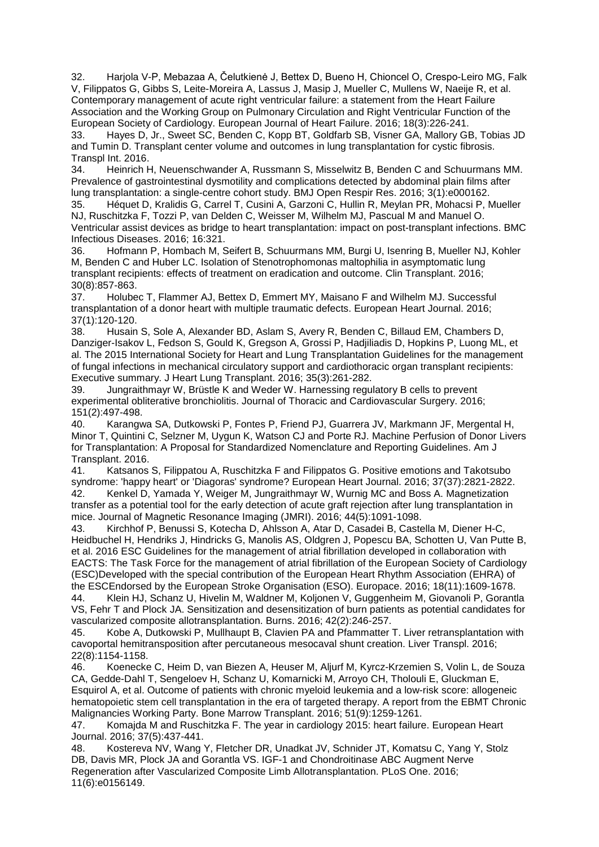32. Harjola V-P, Mebazaa A, Čelutkienė J, Bettex D, Bueno H, Chioncel O, Crespo-Leiro MG, Falk V, Filippatos G, Gibbs S, Leite-Moreira A, Lassus J, Masip J, Mueller C, Mullens W, Naeije R, et al. Contemporary management of acute right ventricular failure: a statement from the Heart Failure Association and the Working Group on Pulmonary Circulation and Right Ventricular Function of the European Society of Cardiology. European Journal of Heart Failure. 2016; 18(3):226-241.

33. Hayes D, Jr., Sweet SC, Benden C, Kopp BT, Goldfarb SB, Visner GA, Mallory GB, Tobias JD and Tumin D. Transplant center volume and outcomes in lung transplantation for cystic fibrosis. Transpl Int. 2016.

34. Heinrich H, Neuenschwander A, Russmann S, Misselwitz B, Benden C and Schuurmans MM. Prevalence of gastrointestinal dysmotility and complications detected by abdominal plain films after lung transplantation: a single-centre cohort study. BMJ Open Respir Res. 2016; 3(1):e000162.

35. Héquet D, Kralidis G, Carrel T, Cusini A, Garzoni C, Hullin R, Meylan PR, Mohacsi P, Mueller NJ, Ruschitzka F, Tozzi P, van Delden C, Weisser M, Wilhelm MJ, Pascual M and Manuel O. Ventricular assist devices as bridge to heart transplantation: impact on post-transplant infections. BMC Infectious Diseases. 2016; 16:321.

36. Hofmann P, Hombach M, Seifert B, Schuurmans MM, Burgi U, Isenring B, Mueller NJ, Kohler M, Benden C and Huber LC. Isolation of Stenotrophomonas maltophilia in asymptomatic lung transplant recipients: effects of treatment on eradication and outcome. Clin Transplant. 2016; 30(8):857-863.

37. Holubec T, Flammer AJ, Bettex D, Emmert MY, Maisano F and Wilhelm MJ. Successful transplantation of a donor heart with multiple traumatic defects. European Heart Journal. 2016; 37(1):120-120.

38. Husain S, Sole A, Alexander BD, Aslam S, Avery R, Benden C, Billaud EM, Chambers D, Danziger-Isakov L, Fedson S, Gould K, Gregson A, Grossi P, Hadjiliadis D, Hopkins P, Luong ML, et al. The 2015 International Society for Heart and Lung Transplantation Guidelines for the management of fungal infections in mechanical circulatory support and cardiothoracic organ transplant recipients: Executive summary. J Heart Lung Transplant. 2016; 35(3):261-282.

Jungraithmayr W, Brüstle K and Weder W. Harnessing regulatory B cells to prevent experimental obliterative bronchiolitis. Journal of Thoracic and Cardiovascular Surgery. 2016; 151(2):497-498.

Karangwa SA, Dutkowski P, Fontes P, Friend PJ, Guarrera JV, Markmann JF, Mergental H, Minor T, Quintini C, Selzner M, Uygun K, Watson CJ and Porte RJ. Machine Perfusion of Donor Livers for Transplantation: A Proposal for Standardized Nomenclature and Reporting Guidelines. Am J Transplant. 2016.<br>41. Katsanos

41. Katsanos S, Filippatou A, Ruschitzka F and Filippatos G. Positive emotions and Takotsubo syndrome: 'happy heart' or 'Diagoras' syndrome? European Heart Journal. 2016; 37(37):2821-2822. 42. Kenkel D, Yamada Y, Weiger M, Jungraithmayr W, Wurnig MC and Boss A. Magnetization transfer as a potential tool for the early detection of acute graft rejection after lung transplantation in mice. Journal of Magnetic Resonance Imaging (JMRI). 2016; 44(5):1091-1098.

43. Kirchhof P, Benussi S, Kotecha D, Ahlsson A, Atar D, Casadei B, Castella M, Diener H-C, Heidbuchel H, Hendriks J, Hindricks G, Manolis AS, Oldgren J, Popescu BA, Schotten U, Van Putte B, et al. 2016 ESC Guidelines for the management of atrial fibrillation developed in collaboration with EACTS: The Task Force for the management of atrial fibrillation of the European Society of Cardiology (ESC)Developed with the special contribution of the European Heart Rhythm Association (EHRA) of the ESCEndorsed by the European Stroke Organisation (ESO). Europace. 2016; 18(11):1609-1678.

44. Klein HJ, Schanz U, Hivelin M, Waldner M, Koljonen V, Guggenheim M, Giovanoli P, Gorantla VS, Fehr T and Plock JA. Sensitization and desensitization of burn patients as potential candidates for vascularized composite allotransplantation. Burns. 2016; 42(2):246-257.

45. Kobe A, Dutkowski P, Mullhaupt B, Clavien PA and Pfammatter T. Liver retransplantation with cavoportal hemitransposition after percutaneous mesocaval shunt creation. Liver Transpl. 2016; 22(8):1154-1158.

46. Koenecke C, Heim D, van Biezen A, Heuser M, Aljurf M, Kyrcz-Krzemien S, Volin L, de Souza CA, Gedde-Dahl T, Sengeloev H, Schanz U, Komarnicki M, Arroyo CH, Tholouli E, Gluckman E, Esquirol A, et al. Outcome of patients with chronic myeloid leukemia and a low-risk score: allogeneic hematopoietic stem cell transplantation in the era of targeted therapy. A report from the EBMT Chronic Malignancies Working Party. Bone Marrow Transplant. 2016; 51(9):1259-1261.

47. Komajda M and Ruschitzka F. The year in cardiology 2015: heart failure. European Heart Journal. 2016; 37(5):437-441.

48. Kostereva NV, Wang Y, Fletcher DR, Unadkat JV, Schnider JT, Komatsu C, Yang Y, Stolz DB, Davis MR, Plock JA and Gorantla VS. IGF-1 and Chondroitinase ABC Augment Nerve Regeneration after Vascularized Composite Limb Allotransplantation. PLoS One. 2016; 11(6):e0156149.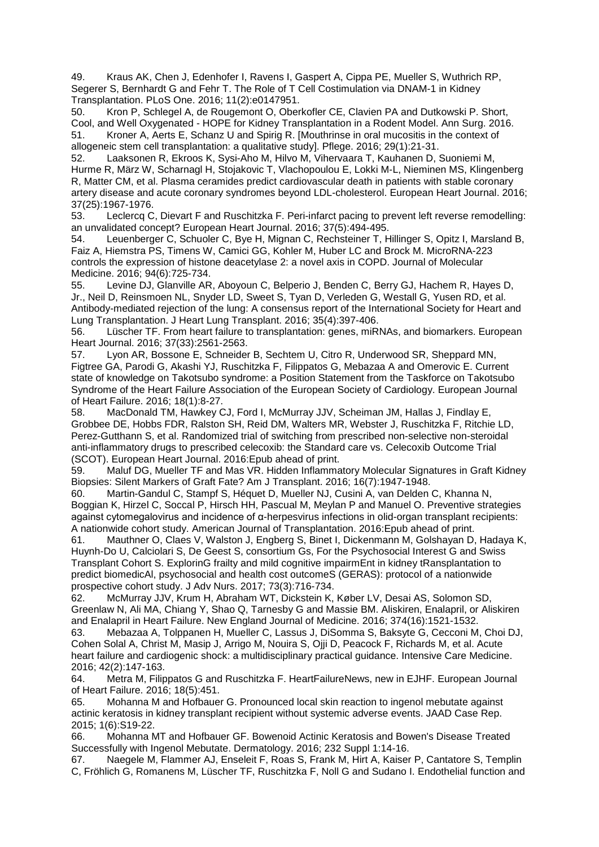49. Kraus AK, Chen J, Edenhofer I, Ravens I, Gaspert A, Cippa PE, Mueller S, Wuthrich RP, Segerer S, Bernhardt G and Fehr T. The Role of T Cell Costimulation via DNAM-1 in Kidney Transplantation. PLoS One. 2016; 11(2):e0147951.

50. Kron P, Schlegel A, de Rougemont O, Oberkofler CE, Clavien PA and Dutkowski P. Short, Cool, and Well Oxygenated - HOPE for Kidney Transplantation in a Rodent Model. Ann Surg. 2016. 51. Kroner A, Aerts E, Schanz U and Spirig R. [Mouthrinse in oral mucositis in the context of allogeneic stem cell transplantation: a qualitative study]. Pflege. 2016; 29(1):21-31.

52. Laaksonen R, Ekroos K, Sysi-Aho M, Hilvo M, Vihervaara T, Kauhanen D, Suoniemi M, Hurme R, März W, Scharnagl H, Stojakovic T, Vlachopoulou E, Lokki M-L, Nieminen MS, Klingenberg R, Matter CM, et al. Plasma ceramides predict cardiovascular death in patients with stable coronary artery disease and acute coronary syndromes beyond LDL-cholesterol. European Heart Journal. 2016; 37(25):1967-1976.

53. Leclercq C, Dievart F and Ruschitzka F. Peri-infarct pacing to prevent left reverse remodelling: an unvalidated concept? European Heart Journal. 2016; 37(5):494-495.

54. Leuenberger C, Schuoler C, Bye H, Mignan C, Rechsteiner T, Hillinger S, Opitz I, Marsland B, Faiz A, Hiemstra PS, Timens W, Camici GG, Kohler M, Huber LC and Brock M. MicroRNA-223 controls the expression of histone deacetylase 2: a novel axis in COPD. Journal of Molecular Medicine. 2016; 94(6):725-734.

55. Levine DJ, Glanville AR, Aboyoun C, Belperio J, Benden C, Berry GJ, Hachem R, Hayes D, Jr., Neil D, Reinsmoen NL, Snyder LD, Sweet S, Tyan D, Verleden G, Westall G, Yusen RD, et al. Antibody-mediated rejection of the lung: A consensus report of the International Society for Heart and Lung Transplantation. J Heart Lung Transplant. 2016; 35(4):397-406.

56. Lüscher TF. From heart failure to transplantation: genes, miRNAs, and biomarkers. European Heart Journal. 2016; 37(33):2561-2563.

57. Lyon AR, Bossone E, Schneider B, Sechtem U, Citro R, Underwood SR, Sheppard MN, Figtree GA, Parodi G, Akashi YJ, Ruschitzka F, Filippatos G, Mebazaa A and Omerovic E. Current state of knowledge on Takotsubo syndrome: a Position Statement from the Taskforce on Takotsubo Syndrome of the Heart Failure Association of the European Society of Cardiology. European Journal of Heart Failure. 2016; 18(1):8-27.

58. MacDonald TM, Hawkey CJ, Ford I, McMurray JJV, Scheiman JM, Hallas J, Findlay E, Grobbee DE, Hobbs FDR, Ralston SH, Reid DM, Walters MR, Webster J, Ruschitzka F, Ritchie LD, Perez-Gutthann S, et al. Randomized trial of switching from prescribed non-selective non-steroidal anti-inflammatory drugs to prescribed celecoxib: the Standard care vs. Celecoxib Outcome Trial (SCOT). European Heart Journal. 2016:Epub ahead of print.

59. Maluf DG, Mueller TF and Mas VR. Hidden Inflammatory Molecular Signatures in Graft Kidney Biopsies: Silent Markers of Graft Fate? Am J Transplant. 2016; 16(7):1947-1948.

60. Martin-Gandul C, Stampf S, Héquet D, Mueller NJ, Cusini A, van Delden C, Khanna N, Boggian K, Hirzel C, Soccal P, Hirsch HH, Pascual M, Meylan P and Manuel O. Preventive strategies against cytomegalovirus and incidence of α-herpesvirus infections in olid-organ transplant recipients: A nationwide cohort study. American Journal of Transplantation. 2016:Epub ahead of print.

61. Mauthner O, Claes V, Walston J, Engberg S, Binet I, Dickenmann M, Golshayan D, Hadaya K, Huynh-Do U, Calciolari S, De Geest S, consortium Gs, For the Psychosocial Interest G and Swiss Transplant Cohort S. ExplorinG frailty and mild cognitive impairmEnt in kidney tRansplantation to predict biomedicAl, psychosocial and health cost outcomeS (GERAS): protocol of a nationwide prospective cohort study. J Adv Nurs. 2017; 73(3):716-734.

62. McMurray JJV, Krum H, Abraham WT, Dickstein K, Køber LV, Desai AS, Solomon SD, Greenlaw N, Ali MA, Chiang Y, Shao Q, Tarnesby G and Massie BM. Aliskiren, Enalapril, or Aliskiren and Enalapril in Heart Failure. New England Journal of Medicine. 2016; 374(16):1521-1532.

63. Mebazaa A, Tolppanen H, Mueller C, Lassus J, DiSomma S, Baksyte G, Cecconi M, Choi DJ, Cohen Solal A, Christ M, Masip J, Arrigo M, Nouira S, Ojji D, Peacock F, Richards M, et al. Acute heart failure and cardiogenic shock: a multidisciplinary practical guidance. Intensive Care Medicine. 2016; 42(2):147-163.

64. Metra M, Filippatos G and Ruschitzka F. HeartFailureNews, new in EJHF. European Journal of Heart Failure. 2016; 18(5):451.

65. Mohanna M and Hofbauer G. Pronounced local skin reaction to ingenol mebutate against actinic keratosis in kidney transplant recipient without systemic adverse events. JAAD Case Rep. 2015; 1(6):S19-22.

66. Mohanna MT and Hofbauer GF. Bowenoid Actinic Keratosis and Bowen's Disease Treated Successfully with Ingenol Mebutate. Dermatology. 2016; 232 Suppl 1:14-16.

67. Naegele M, Flammer AJ, Enseleit F, Roas S, Frank M, Hirt A, Kaiser P, Cantatore S, Templin C, Fröhlich G, Romanens M, Lüscher TF, Ruschitzka F, Noll G and Sudano I. Endothelial function and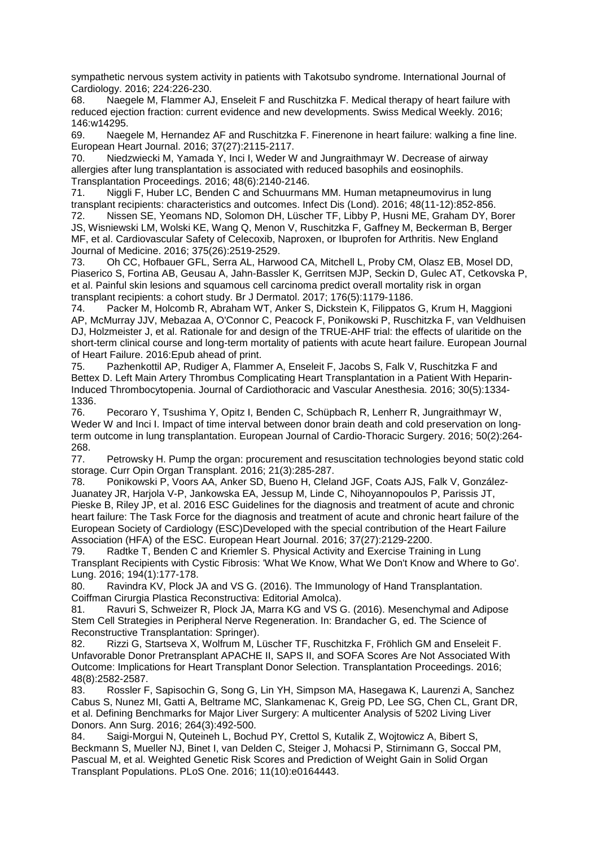sympathetic nervous system activity in patients with Takotsubo syndrome. International Journal of Cardiology. 2016; 224:226-230.

68. Naegele M, Flammer AJ, Enseleit F and Ruschitzka F. Medical therapy of heart failure with reduced ejection fraction: current evidence and new developments. Swiss Medical Weekly. 2016; 146:w14295.

69. Naegele M, Hernandez AF and Ruschitzka F. Finerenone in heart failure: walking a fine line. European Heart Journal. 2016; 37(27):2115-2117.

70. Niedzwiecki M, Yamada Y, Inci I, Weder W and Jungraithmayr W. Decrease of airway allergies after lung transplantation is associated with reduced basophils and eosinophils. Transplantation Proceedings. 2016; 48(6):2140-2146.

71. Niggli F, Huber LC, Benden C and Schuurmans MM. Human metapneumovirus in lung transplant recipients: characteristics and outcomes. Infect Dis (Lond). 2016; 48(11-12):852-856.

72. Nissen SE, Yeomans ND, Solomon DH, Lüscher TF, Libby P, Husni ME, Graham DY, Borer JS, Wisniewski LM, Wolski KE, Wang Q, Menon V, Ruschitzka F, Gaffney M, Beckerman B, Berger MF, et al. Cardiovascular Safety of Celecoxib, Naproxen, or Ibuprofen for Arthritis. New England Journal of Medicine. 2016; 375(26):2519-2529.

73. Oh CC, Hofbauer GFL, Serra AL, Harwood CA, Mitchell L, Proby CM, Olasz EB, Mosel DD, Piaserico S, Fortina AB, Geusau A, Jahn-Bassler K, Gerritsen MJP, Seckin D, Gulec AT, Cetkovska P, et al. Painful skin lesions and squamous cell carcinoma predict overall mortality risk in organ transplant recipients: a cohort study. Br J Dermatol. 2017; 176(5):1179-1186.

74. Packer M, Holcomb R, Abraham WT, Anker S, Dickstein K, Filippatos G, Krum H, Maggioni AP, McMurray JJV, Mebazaa A, O'Connor C, Peacock F, Ponikowski P, Ruschitzka F, van Veldhuisen DJ, Holzmeister J, et al. Rationale for and design of the TRUE-AHF trial: the effects of ularitide on the short-term clinical course and long-term mortality of patients with acute heart failure. European Journal of Heart Failure. 2016:Epub ahead of print.

75. Pazhenkottil AP, Rudiger A, Flammer A, Enseleit F, Jacobs S, Falk V, Ruschitzka F and Bettex D. Left Main Artery Thrombus Complicating Heart Transplantation in a Patient With Heparin-Induced Thrombocytopenia. Journal of Cardiothoracic and Vascular Anesthesia. 2016; 30(5):1334- 1336.

76. Pecoraro Y, Tsushima Y, Opitz I, Benden C, Schüpbach R, Lenherr R, Jungraithmayr W, Weder W and Inci I. Impact of time interval between donor brain death and cold preservation on longterm outcome in lung transplantation. European Journal of Cardio-Thoracic Surgery. 2016; 50(2):264- 268.<br>77.

Petrowsky H. Pump the organ: procurement and resuscitation technologies beyond static cold storage. Curr Opin Organ Transplant. 2016; 21(3):285-287.

78. Ponikowski P, Voors AA, Anker SD, Bueno H, Cleland JGF, Coats AJS, Falk V, González-Juanatey JR, Harjola V-P, Jankowska EA, Jessup M, Linde C, Nihoyannopoulos P, Parissis JT, Pieske B, Riley JP, et al. 2016 ESC Guidelines for the diagnosis and treatment of acute and chronic heart failure: The Task Force for the diagnosis and treatment of acute and chronic heart failure of the European Society of Cardiology (ESC)Developed with the special contribution of the Heart Failure Association (HFA) of the ESC. European Heart Journal. 2016; 37(27):2129-2200.

79. Radtke T, Benden C and Kriemler S. Physical Activity and Exercise Training in Lung Transplant Recipients with Cystic Fibrosis: 'What We Know, What We Don't Know and Where to Go'. Lung. 2016; 194(1):177-178.

80. Ravindra KV, Plock JA and VS G. (2016). The Immunology of Hand Transplantation. Coiffman Cirurgia Plastica Reconstructiva: Editorial Amolca).

81. Ravuri S, Schweizer R, Plock JA, Marra KG and VS G. (2016). Mesenchymal and Adipose Stem Cell Strategies in Peripheral Nerve Regeneration. In: Brandacher G, ed. The Science of Reconstructive Transplantation: Springer).

82. Rizzi G, Startseva X, Wolfrum M, Lüscher TF, Ruschitzka F, Fröhlich GM and Enseleit F. Unfavorable Donor Pretransplant APACHE II, SAPS II, and SOFA Scores Are Not Associated With Outcome: Implications for Heart Transplant Donor Selection. Transplantation Proceedings. 2016; 48(8):2582-2587.

83. Rossler F, Sapisochin G, Song G, Lin YH, Simpson MA, Hasegawa K, Laurenzi A, Sanchez Cabus S, Nunez MI, Gatti A, Beltrame MC, Slankamenac K, Greig PD, Lee SG, Chen CL, Grant DR, et al. Defining Benchmarks for Major Liver Surgery: A multicenter Analysis of 5202 Living Liver Donors. Ann Surg. 2016; 264(3):492-500.

84. Saigi-Morgui N, Quteineh L, Bochud PY, Crettol S, Kutalik Z, Wojtowicz A, Bibert S, Beckmann S, Mueller NJ, Binet I, van Delden C, Steiger J, Mohacsi P, Stirnimann G, Soccal PM, Pascual M, et al. Weighted Genetic Risk Scores and Prediction of Weight Gain in Solid Organ Transplant Populations. PLoS One. 2016; 11(10):e0164443.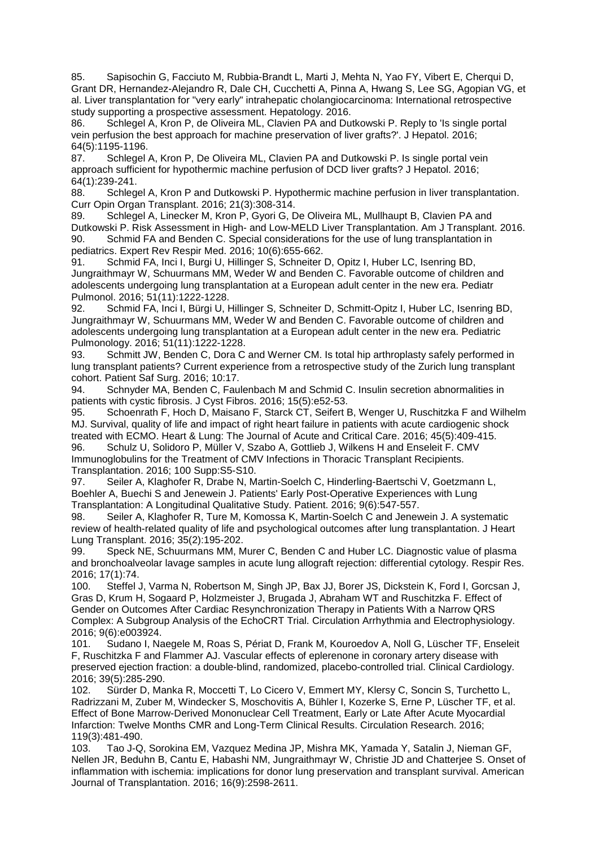85. Sapisochin G, Facciuto M, Rubbia-Brandt L, Marti J, Mehta N, Yao FY, Vibert E, Cherqui D, Grant DR, Hernandez-Alejandro R, Dale CH, Cucchetti A, Pinna A, Hwang S, Lee SG, Agopian VG, et al. Liver transplantation for "very early" intrahepatic cholangiocarcinoma: International retrospective study supporting a prospective assessment. Hepatology. 2016.

86. Schlegel A, Kron P, de Oliveira ML, Clavien PA and Dutkowski P. Reply to 'Is single portal vein perfusion the best approach for machine preservation of liver grafts?'. J Hepatol. 2016; 64(5):1195-1196.

87. Schlegel A, Kron P, De Oliveira ML, Clavien PA and Dutkowski P. Is single portal vein approach sufficient for hypothermic machine perfusion of DCD liver grafts? J Hepatol. 2016; 64(1):239-241.

Schlegel A, Kron P and Dutkowski P. Hypothermic machine perfusion in liver transplantation. Curr Opin Organ Transplant. 2016; 21(3):308-314.

89. Schlegel A, Linecker M, Kron P, Gyori G, De Oliveira ML, Mullhaupt B, Clavien PA and Dutkowski P. Risk Assessment in High- and Low-MELD Liver Transplantation. Am J Transplant. 2016. 90. Schmid FA and Benden C. Special considerations for the use of lung transplantation in pediatrics. Expert Rev Respir Med. 2016; 10(6):655-662.

91. Schmid FA, Inci I, Burgi U, Hillinger S, Schneiter D, Opitz I, Huber LC, Isenring BD, Jungraithmayr W, Schuurmans MM, Weder W and Benden C. Favorable outcome of children and adolescents undergoing lung transplantation at a European adult center in the new era. Pediatr Pulmonol. 2016; 51(11):1222-1228.

92. Schmid FA, Inci I, Bürgi U, Hillinger S, Schneiter D, Schmitt-Opitz I, Huber LC, Isenring BD, Jungraithmayr W, Schuurmans MM, Weder W and Benden C. Favorable outcome of children and adolescents undergoing lung transplantation at a European adult center in the new era. Pediatric Pulmonology. 2016; 51(11):1222-1228.

93. Schmitt JW, Benden C, Dora C and Werner CM. Is total hip arthroplasty safely performed in lung transplant patients? Current experience from a retrospective study of the Zurich lung transplant cohort. Patient Saf Surg. 2016; 10:17.<br>94. Schnyder MA. Benden C. Fau

Schnyder MA, Benden C, Faulenbach M and Schmid C. Insulin secretion abnormalities in patients with cystic fibrosis. J Cyst Fibros. 2016; 15(5):e52-53.

95. Schoenrath F, Hoch D, Maisano F, Starck CT, Seifert B, Wenger U, Ruschitzka F and Wilhelm MJ. Survival, quality of life and impact of right heart failure in patients with acute cardiogenic shock treated with ECMO. Heart & Lung: The Journal of Acute and Critical Care. 2016; 45(5):409-415.

96. Schulz U, Solidoro P, Müller V, Szabo A, Gottlieb J, Wilkens H and Enseleit F. CMV Immunoglobulins for the Treatment of CMV Infections in Thoracic Transplant Recipients. Transplantation. 2016; 100 Supp:S5-S10.

97. Seiler A, Klaghofer R, Drabe N, Martin-Soelch C, Hinderling-Baertschi V, Goetzmann L, Boehler A, Buechi S and Jenewein J. Patients' Early Post-Operative Experiences with Lung Transplantation: A Longitudinal Qualitative Study. Patient. 2016; 9(6):547-557.

98. Seiler A, Klaghofer R, Ture M, Komossa K, Martin-Soelch C and Jenewein J. A systematic review of health-related quality of life and psychological outcomes after lung transplantation. J Heart Lung Transplant. 2016; 35(2):195-202.

99. Speck NE, Schuurmans MM, Murer C, Benden C and Huber LC. Diagnostic value of plasma and bronchoalveolar lavage samples in acute lung allograft rejection: differential cytology. Respir Res. 2016; 17(1):74.

100. Steffel J, Varma N, Robertson M, Singh JP, Bax JJ, Borer JS, Dickstein K, Ford I, Gorcsan J, Gras D, Krum H, Sogaard P, Holzmeister J, Brugada J, Abraham WT and Ruschitzka F. Effect of Gender on Outcomes After Cardiac Resynchronization Therapy in Patients With a Narrow QRS Complex: A Subgroup Analysis of the EchoCRT Trial. Circulation Arrhythmia and Electrophysiology. 2016; 9(6):e003924.

101. Sudano I, Naegele M, Roas S, Périat D, Frank M, Kouroedov A, Noll G, Lüscher TF, Enseleit F, Ruschitzka F and Flammer AJ. Vascular effects of eplerenone in coronary artery disease with preserved ejection fraction: a double-blind, randomized, placebo-controlled trial. Clinical Cardiology. 2016; 39(5):285-290.

102. Sürder D, Manka R, Moccetti T, Lo Cicero V, Emmert MY, Klersy C, Soncin S, Turchetto L, Radrizzani M, Zuber M, Windecker S, Moschovitis A, Bühler I, Kozerke S, Erne P, Lüscher TF, et al. Effect of Bone Marrow-Derived Mononuclear Cell Treatment, Early or Late After Acute Myocardial Infarction: Twelve Months CMR and Long-Term Clinical Results. Circulation Research. 2016; 119(3):481-490.

103. Tao J-Q, Sorokina EM, Vazquez Medina JP, Mishra MK, Yamada Y, Satalin J, Nieman GF, Nellen JR, Beduhn B, Cantu E, Habashi NM, Jungraithmayr W, Christie JD and Chatterjee S. Onset of inflammation with ischemia: implications for donor lung preservation and transplant survival. American Journal of Transplantation. 2016; 16(9):2598-2611.